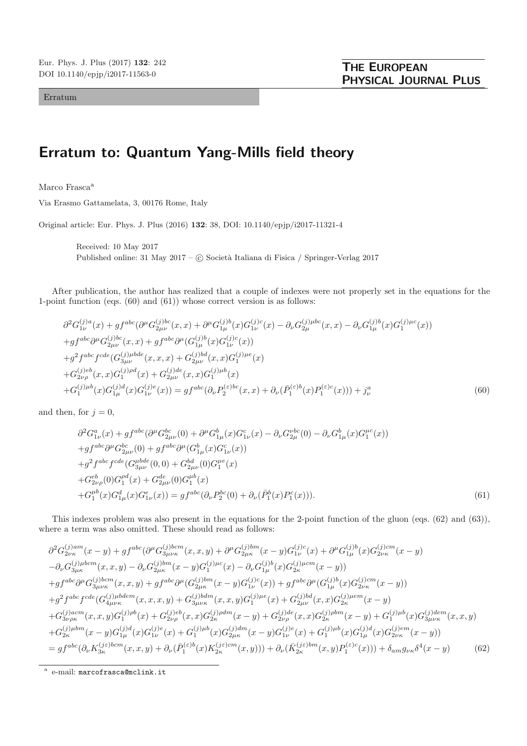Erratum

## **Erratum to: Quantum Yang-Mills field theory**

Marco Frasca<sup>a</sup>

Via Erasmo Gattamelata, 3, 00176 Rome, Italy

Original article: Eur. Phys. J. Plus (2016) **132**: 38, DOI: 10.1140/epjp/i2017-11321-4

Received: 10 May 2017 Published online: 31 May 2017 – © Società Italiana di Fisica / Springer-Verlag 2017

After publication, the author has realized that a couple of indexes were not properly set in the equations for the 1-point function (eqs. (60) and (61)) whose correct version is as follows:

$$
\partial^2 G_{1\nu}^{(j)a}(x) + gf^{abc}(\partial^{\mu} G_{2\mu\nu}^{(j)bc}(x,x) + \partial^{\mu} G_{1\mu}^{(j)b}(x)G_{1\nu}^{(j)c}(x) - \partial_{\nu} G_{2\mu}^{(j)\mu bc}(x,x) - \partial_{\nu} G_{1\mu}^{(j)b}(x)G_1^{(j)\mu c}(x))
$$
  
+
$$
gf^{abc}\partial^{\mu} G_{2\mu\nu}^{(j)bc}(x,x) + gf^{abc}\partial^{\mu} (G_{1\mu}^{(j)b}(x)G_{1\nu}^{(j)c}(x))
$$
  
+
$$
g^2 f^{abc} f^{cde} (G_{3\mu\nu}^{(j)\mu bde}(x,x,x) + G_{2\mu\nu}^{(j)bd}(x,x)G_1^{(j)\mu e}(x)
$$
  
+
$$
G_{2\nu\rho}^{(j)bb}(x,x)G_1^{(j)\rho d}(x) + G_{2\mu\nu}^{(j)bd}(x,x)G_1^{(j)\mu b}(x)
$$
  
+
$$
G_1^{(j)\mu b}(x)G_{1\mu}^{(j)d}(x)G_{1\nu}^{(j)e}(x)) = gf^{abc}(\partial_{\nu} P_2^{(\varepsilon)bc}(x,x) + \partial_{\nu} (\bar{P}_1^{(\varepsilon)b}(x)P_1^{(\varepsilon)c}(x))) + j_\nu^a
$$
 (60)

and then, for  $j = 0$ ,

$$
\partial^2 G_{1\nu}^a(x) + gf^{abc} (\partial^\mu G_{2\mu\nu}^{bc}(0) + \partial^\mu G_{1\mu}^b(x) G_{1\nu}^c(x) - \partial_\nu G_{2\mu}^{abc}(0) - \partial_\nu G_{1\mu}^b(x) G_1^{\mu c}(x)) \n+ gf^{abc} \partial^\mu G_{2\mu\nu}^{bc}(0) + gf^{abc} \partial^\mu (G_{1\mu}^b(x) G_{1\nu}^c(x)) \n+ g^2 f^{abc} f^{cde}(G_{3\mu\nu}^{b bde}(0,0) + G_{2\mu\nu}^{bd}(0) G_1^{\mu e}(x) \n+ G_{2\nu\rho}^{eb}(0) G_1^{ad}(x) + G_{2\mu\nu}^{de}(0) G_1^{\mu b}(x) \n+ G_1^{\mu b}(x) G_{1\mu}^d(x) G_{1\nu}^e(x)) = gf^{abc} (\partial_\nu P_2^{bc}(0) + \partial_\nu (\bar{P}_1^b(x) P_1^c(x))).
$$
\n(61)

This indexes problem was also present in the equations for the 2-point function of the gluon (eqs. (62) and (63)), where a term was also omitted. These should read as follows:

$$
\partial^{2}G_{2\nu\kappa}^{(j)am}(x-y) + gf^{abc}(\partial^{\mu}G_{3\mu\nu\kappa}^{(j)bcm}(x,x,y) + \partial^{\mu}G_{2\mu\kappa}^{(j)bm}(x-y)G_{1\nu}^{(j)c}(x) + \partial^{\mu}G_{1\mu}^{(j)b}(x)G_{2\nu\kappa}^{(j)cm}(x-y) \n- \partial_{\nu}G_{3\mu\kappa}^{(j)\mu bcm}(x,x,y) - \partial_{\nu}G_{2\mu\kappa}^{(j)\mu m}(x-y)G_{1}^{(j)\mu c}(x) - \partial_{\nu}G_{1\mu}^{(j)b}(x)G_{2\kappa}^{(j)\mu cm}(x-y)) \n+ gf^{abc}\partial^{\mu}G_{3\mu\nu\kappa}^{(j)bcm}(x,x,y) + gf^{abc}\partial^{\mu}(G_{2\mu\kappa}^{(j)bm}(x-y)G_{1\nu}^{(j)c}(x)) + gf^{abc}\partial^{\mu}(G_{1\mu}^{(j)b}(x)G_{2\nu\kappa}^{(j)cm}(x-y)) \n+ g^{2}f^{abc}f^{cde}(G_{4\mu\nu\kappa}^{(j)\mu bdem}(x,x,x,y) + G_{3\mu\nu\kappa}^{(j)bdm}(x,x,y)G_{1}^{(j)\mu e}(x) + G_{2\mu\nu}^{(j)bde}(x,x)G_{2\kappa}^{(j)\mu em}(x-y) \n+ G_{3\nu\rho\kappa}^{(j)acm}(x,x,y)G_{1}^{(j)\rho b}(x) + G_{2\nu\rho}^{(j)bde}(x,x)G_{2\kappa}^{(j)\mu b}(x)G_{2\mu}^{(j)\mu b}(x)G_{2\mu\nu}^{(j)\mu b}(x)G_{3\mu\nu\kappa}^{(j)\mu b}(x,x,y) \n+ G_{2\kappa}^{(j)\mu b m}(x-y)G_{1\mu}^{(j)d}(x)G_{1\nu}^{(j)e}(x) + G_{1}^{(j)\mu b}(x)G_{2\mu\kappa}^{(j)\mu e}(x-y)G_{1\nu}^{(j)e}(x) + G_{1}^{(j)\mu b}(x)G_{1\mu}^{(j)\mu m}(x-y)) \n= gf^{abc}(\partial_{\nu}K_{3\kappa}^{(j\epsilon)bcm}(x,x,y) + \partial_{
$$

<sup>a</sup> e-mail: marcofrasca@mclink.it